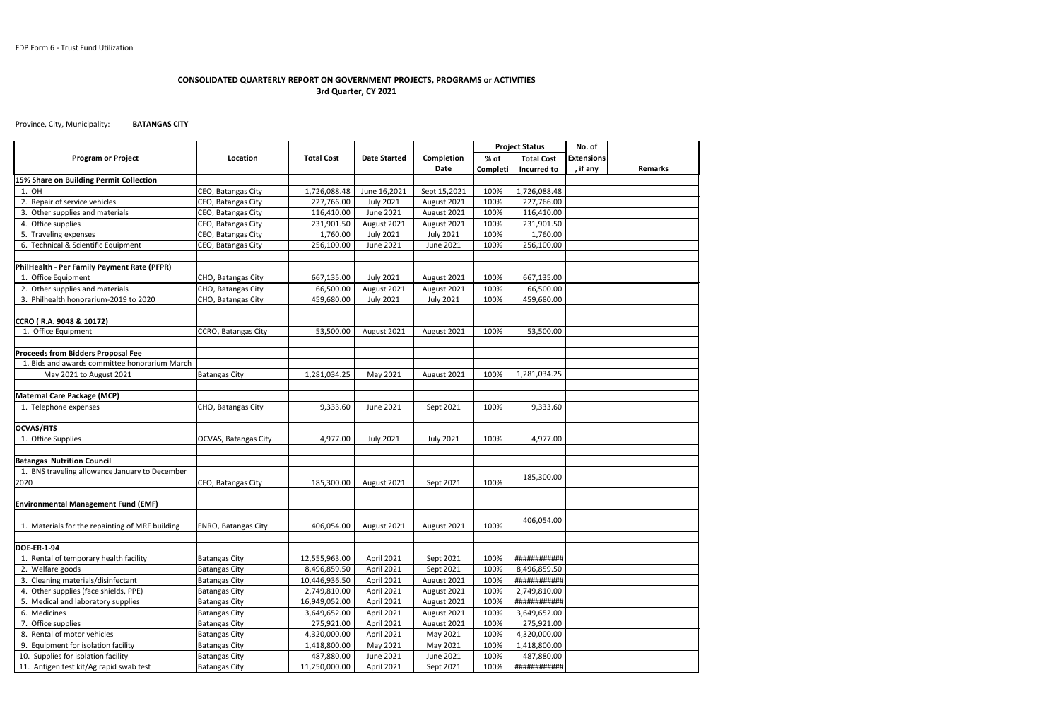Province, City, Municipality: **BATANGAS CITY**

| <b>Program or Project</b><br>Location<br><b>Total Cost</b><br><b>Date Started</b><br>Completion<br>% of<br><b>Extensions</b><br><b>Total Cost</b><br>, if any<br><b>Date</b><br><b>Remarks</b><br><b>Incurred to</b><br>Completi<br>15% Share on Building Permit Collection<br>1. OH<br>CEO, Batangas City<br>1,726,088.48<br>June 16,2021<br>100%<br>1,726,088.48<br>Sept 15,2021<br>2. Repair of service vehicles<br>CEO, Batangas City<br>227,766.00<br><b>July 2021</b><br>100%<br>227,766.00<br>August 2021<br>3. Other supplies and materials<br>CEO, Batangas City<br>116,410.00<br>June 2021<br>100%<br>116,410.00<br>August 2021<br>4. Office supplies<br>CEO, Batangas City<br>231,901.50<br>August 2021<br>100%<br>231,901.50<br>August 2021<br>5. Traveling expenses<br>CEO, Batangas City<br>100%<br>1,760.00<br>1,760.00<br><b>July 2021</b><br><b>July 2021</b><br>6. Technical & Scientific Equipment<br>CEO, Batangas City<br>256,100.00<br>June 2021<br>June 2021<br>100%<br>256,100.00<br>PhilHealth - Per Family Payment Rate (PFPR)<br><b>July 2021</b><br>667,135.00<br>1. Office Equipment<br>CHO, Batangas City<br>667,135.00<br>100%<br>August 2021<br>2. Other supplies and materials<br>CHO, Batangas City<br>66,500.00<br>100%<br>66,500.00<br>August 2021<br>August 2021<br>3. Philhealth honorarium-2019 to 2020<br>CHO, Batangas City<br>459,680.00<br>459,680.00<br><b>July 2021</b><br><b>July 2021</b><br>100%<br>CCRO (R.A. 9048 & 10172)<br>1. Office Equipment<br>CCRO, Batangas City<br>53,500.00<br>August 2021<br>August 2021<br>100%<br>53,500.00<br>Proceeds from Bidders Proposal Fee<br>1. Bids and awards committee honorarium March<br>100%<br>1,281,034.25<br>May 2021 to August 2021<br><b>Batangas City</b><br>1,281,034.25<br>May 2021<br>August 2021<br><b>Maternal Care Package (MCP)</b><br>9,333.60<br>June 2021<br>9,333.60<br>1. Telephone expenses<br>CHO, Batangas City<br>Sept 2021<br>100%<br><b>OCVAS/FITS</b><br>1. Office Supplies<br>100%<br><b>OCVAS, Batangas City</b><br>4,977.00<br><b>July 2021</b><br><b>July 2021</b><br>4,977.00<br><b>Batangas Nutrition Council</b><br>1. BNS traveling allowance January to December<br>185,300.00<br>2020<br>185,300.00<br>100%<br>CEO, Batangas City<br>August 2021<br>Sept 2021<br><b>Environmental Management Fund (EMF)</b><br>406,054.00<br>1. Materials for the repainting of MRF building<br>100%<br><b>ENRO, Batangas City</b><br>406,054.00<br>August 2021<br>August 2021<br><b>DOE-ER-1-94</b><br>1. Rental of temporary health facility<br>April 2021<br>100%<br>############<br><b>Batangas City</b><br>12,555,963.00<br>Sept 2021<br>2. Welfare goods<br><b>Batangas City</b><br>8,496,859.50<br>April 2021<br>Sept 2021<br>100%<br>8,496,859.50<br>3. Cleaning materials/disinfectant<br>############<br><b>Batangas City</b><br>10,446,936.50<br>April 2021<br>August 2021<br>100% |                                       |                      |              |            |             |      | <b>Project Status</b> | No. of |  |
|---------------------------------------------------------------------------------------------------------------------------------------------------------------------------------------------------------------------------------------------------------------------------------------------------------------------------------------------------------------------------------------------------------------------------------------------------------------------------------------------------------------------------------------------------------------------------------------------------------------------------------------------------------------------------------------------------------------------------------------------------------------------------------------------------------------------------------------------------------------------------------------------------------------------------------------------------------------------------------------------------------------------------------------------------------------------------------------------------------------------------------------------------------------------------------------------------------------------------------------------------------------------------------------------------------------------------------------------------------------------------------------------------------------------------------------------------------------------------------------------------------------------------------------------------------------------------------------------------------------------------------------------------------------------------------------------------------------------------------------------------------------------------------------------------------------------------------------------------------------------------------------------------------------------------------------------------------------------------------------------------------------------------------------------------------------------------------------------------------------------------------------------------------------------------------------------------------------------------------------------------------------------------------------------------------------------------------------------------------------------------------------------------------------------------------------------------------------------------------------------------------------------------------------------------------------------------------------------------------------------------------------------------------------------------------------------------------------------------------------------------------------------------------------------------------------------------------------------------------------------------------------------------------------|---------------------------------------|----------------------|--------------|------------|-------------|------|-----------------------|--------|--|
|                                                                                                                                                                                                                                                                                                                                                                                                                                                                                                                                                                                                                                                                                                                                                                                                                                                                                                                                                                                                                                                                                                                                                                                                                                                                                                                                                                                                                                                                                                                                                                                                                                                                                                                                                                                                                                                                                                                                                                                                                                                                                                                                                                                                                                                                                                                                                                                                                                                                                                                                                                                                                                                                                                                                                                                                                                                                                                               |                                       |                      |              |            |             |      |                       |        |  |
|                                                                                                                                                                                                                                                                                                                                                                                                                                                                                                                                                                                                                                                                                                                                                                                                                                                                                                                                                                                                                                                                                                                                                                                                                                                                                                                                                                                                                                                                                                                                                                                                                                                                                                                                                                                                                                                                                                                                                                                                                                                                                                                                                                                                                                                                                                                                                                                                                                                                                                                                                                                                                                                                                                                                                                                                                                                                                                               |                                       |                      |              |            |             |      |                       |        |  |
|                                                                                                                                                                                                                                                                                                                                                                                                                                                                                                                                                                                                                                                                                                                                                                                                                                                                                                                                                                                                                                                                                                                                                                                                                                                                                                                                                                                                                                                                                                                                                                                                                                                                                                                                                                                                                                                                                                                                                                                                                                                                                                                                                                                                                                                                                                                                                                                                                                                                                                                                                                                                                                                                                                                                                                                                                                                                                                               |                                       |                      |              |            |             |      |                       |        |  |
|                                                                                                                                                                                                                                                                                                                                                                                                                                                                                                                                                                                                                                                                                                                                                                                                                                                                                                                                                                                                                                                                                                                                                                                                                                                                                                                                                                                                                                                                                                                                                                                                                                                                                                                                                                                                                                                                                                                                                                                                                                                                                                                                                                                                                                                                                                                                                                                                                                                                                                                                                                                                                                                                                                                                                                                                                                                                                                               |                                       |                      |              |            |             |      |                       |        |  |
|                                                                                                                                                                                                                                                                                                                                                                                                                                                                                                                                                                                                                                                                                                                                                                                                                                                                                                                                                                                                                                                                                                                                                                                                                                                                                                                                                                                                                                                                                                                                                                                                                                                                                                                                                                                                                                                                                                                                                                                                                                                                                                                                                                                                                                                                                                                                                                                                                                                                                                                                                                                                                                                                                                                                                                                                                                                                                                               |                                       |                      |              |            |             |      |                       |        |  |
|                                                                                                                                                                                                                                                                                                                                                                                                                                                                                                                                                                                                                                                                                                                                                                                                                                                                                                                                                                                                                                                                                                                                                                                                                                                                                                                                                                                                                                                                                                                                                                                                                                                                                                                                                                                                                                                                                                                                                                                                                                                                                                                                                                                                                                                                                                                                                                                                                                                                                                                                                                                                                                                                                                                                                                                                                                                                                                               |                                       |                      |              |            |             |      |                       |        |  |
|                                                                                                                                                                                                                                                                                                                                                                                                                                                                                                                                                                                                                                                                                                                                                                                                                                                                                                                                                                                                                                                                                                                                                                                                                                                                                                                                                                                                                                                                                                                                                                                                                                                                                                                                                                                                                                                                                                                                                                                                                                                                                                                                                                                                                                                                                                                                                                                                                                                                                                                                                                                                                                                                                                                                                                                                                                                                                                               |                                       |                      |              |            |             |      |                       |        |  |
|                                                                                                                                                                                                                                                                                                                                                                                                                                                                                                                                                                                                                                                                                                                                                                                                                                                                                                                                                                                                                                                                                                                                                                                                                                                                                                                                                                                                                                                                                                                                                                                                                                                                                                                                                                                                                                                                                                                                                                                                                                                                                                                                                                                                                                                                                                                                                                                                                                                                                                                                                                                                                                                                                                                                                                                                                                                                                                               |                                       |                      |              |            |             |      |                       |        |  |
|                                                                                                                                                                                                                                                                                                                                                                                                                                                                                                                                                                                                                                                                                                                                                                                                                                                                                                                                                                                                                                                                                                                                                                                                                                                                                                                                                                                                                                                                                                                                                                                                                                                                                                                                                                                                                                                                                                                                                                                                                                                                                                                                                                                                                                                                                                                                                                                                                                                                                                                                                                                                                                                                                                                                                                                                                                                                                                               |                                       |                      |              |            |             |      |                       |        |  |
|                                                                                                                                                                                                                                                                                                                                                                                                                                                                                                                                                                                                                                                                                                                                                                                                                                                                                                                                                                                                                                                                                                                                                                                                                                                                                                                                                                                                                                                                                                                                                                                                                                                                                                                                                                                                                                                                                                                                                                                                                                                                                                                                                                                                                                                                                                                                                                                                                                                                                                                                                                                                                                                                                                                                                                                                                                                                                                               |                                       |                      |              |            |             |      |                       |        |  |
|                                                                                                                                                                                                                                                                                                                                                                                                                                                                                                                                                                                                                                                                                                                                                                                                                                                                                                                                                                                                                                                                                                                                                                                                                                                                                                                                                                                                                                                                                                                                                                                                                                                                                                                                                                                                                                                                                                                                                                                                                                                                                                                                                                                                                                                                                                                                                                                                                                                                                                                                                                                                                                                                                                                                                                                                                                                                                                               |                                       |                      |              |            |             |      |                       |        |  |
|                                                                                                                                                                                                                                                                                                                                                                                                                                                                                                                                                                                                                                                                                                                                                                                                                                                                                                                                                                                                                                                                                                                                                                                                                                                                                                                                                                                                                                                                                                                                                                                                                                                                                                                                                                                                                                                                                                                                                                                                                                                                                                                                                                                                                                                                                                                                                                                                                                                                                                                                                                                                                                                                                                                                                                                                                                                                                                               |                                       |                      |              |            |             |      |                       |        |  |
|                                                                                                                                                                                                                                                                                                                                                                                                                                                                                                                                                                                                                                                                                                                                                                                                                                                                                                                                                                                                                                                                                                                                                                                                                                                                                                                                                                                                                                                                                                                                                                                                                                                                                                                                                                                                                                                                                                                                                                                                                                                                                                                                                                                                                                                                                                                                                                                                                                                                                                                                                                                                                                                                                                                                                                                                                                                                                                               |                                       |                      |              |            |             |      |                       |        |  |
|                                                                                                                                                                                                                                                                                                                                                                                                                                                                                                                                                                                                                                                                                                                                                                                                                                                                                                                                                                                                                                                                                                                                                                                                                                                                                                                                                                                                                                                                                                                                                                                                                                                                                                                                                                                                                                                                                                                                                                                                                                                                                                                                                                                                                                                                                                                                                                                                                                                                                                                                                                                                                                                                                                                                                                                                                                                                                                               |                                       |                      |              |            |             |      |                       |        |  |
|                                                                                                                                                                                                                                                                                                                                                                                                                                                                                                                                                                                                                                                                                                                                                                                                                                                                                                                                                                                                                                                                                                                                                                                                                                                                                                                                                                                                                                                                                                                                                                                                                                                                                                                                                                                                                                                                                                                                                                                                                                                                                                                                                                                                                                                                                                                                                                                                                                                                                                                                                                                                                                                                                                                                                                                                                                                                                                               |                                       |                      |              |            |             |      |                       |        |  |
|                                                                                                                                                                                                                                                                                                                                                                                                                                                                                                                                                                                                                                                                                                                                                                                                                                                                                                                                                                                                                                                                                                                                                                                                                                                                                                                                                                                                                                                                                                                                                                                                                                                                                                                                                                                                                                                                                                                                                                                                                                                                                                                                                                                                                                                                                                                                                                                                                                                                                                                                                                                                                                                                                                                                                                                                                                                                                                               |                                       |                      |              |            |             |      |                       |        |  |
|                                                                                                                                                                                                                                                                                                                                                                                                                                                                                                                                                                                                                                                                                                                                                                                                                                                                                                                                                                                                                                                                                                                                                                                                                                                                                                                                                                                                                                                                                                                                                                                                                                                                                                                                                                                                                                                                                                                                                                                                                                                                                                                                                                                                                                                                                                                                                                                                                                                                                                                                                                                                                                                                                                                                                                                                                                                                                                               |                                       |                      |              |            |             |      |                       |        |  |
|                                                                                                                                                                                                                                                                                                                                                                                                                                                                                                                                                                                                                                                                                                                                                                                                                                                                                                                                                                                                                                                                                                                                                                                                                                                                                                                                                                                                                                                                                                                                                                                                                                                                                                                                                                                                                                                                                                                                                                                                                                                                                                                                                                                                                                                                                                                                                                                                                                                                                                                                                                                                                                                                                                                                                                                                                                                                                                               |                                       |                      |              |            |             |      |                       |        |  |
|                                                                                                                                                                                                                                                                                                                                                                                                                                                                                                                                                                                                                                                                                                                                                                                                                                                                                                                                                                                                                                                                                                                                                                                                                                                                                                                                                                                                                                                                                                                                                                                                                                                                                                                                                                                                                                                                                                                                                                                                                                                                                                                                                                                                                                                                                                                                                                                                                                                                                                                                                                                                                                                                                                                                                                                                                                                                                                               |                                       |                      |              |            |             |      |                       |        |  |
|                                                                                                                                                                                                                                                                                                                                                                                                                                                                                                                                                                                                                                                                                                                                                                                                                                                                                                                                                                                                                                                                                                                                                                                                                                                                                                                                                                                                                                                                                                                                                                                                                                                                                                                                                                                                                                                                                                                                                                                                                                                                                                                                                                                                                                                                                                                                                                                                                                                                                                                                                                                                                                                                                                                                                                                                                                                                                                               |                                       |                      |              |            |             |      |                       |        |  |
|                                                                                                                                                                                                                                                                                                                                                                                                                                                                                                                                                                                                                                                                                                                                                                                                                                                                                                                                                                                                                                                                                                                                                                                                                                                                                                                                                                                                                                                                                                                                                                                                                                                                                                                                                                                                                                                                                                                                                                                                                                                                                                                                                                                                                                                                                                                                                                                                                                                                                                                                                                                                                                                                                                                                                                                                                                                                                                               |                                       |                      |              |            |             |      |                       |        |  |
|                                                                                                                                                                                                                                                                                                                                                                                                                                                                                                                                                                                                                                                                                                                                                                                                                                                                                                                                                                                                                                                                                                                                                                                                                                                                                                                                                                                                                                                                                                                                                                                                                                                                                                                                                                                                                                                                                                                                                                                                                                                                                                                                                                                                                                                                                                                                                                                                                                                                                                                                                                                                                                                                                                                                                                                                                                                                                                               |                                       |                      |              |            |             |      |                       |        |  |
|                                                                                                                                                                                                                                                                                                                                                                                                                                                                                                                                                                                                                                                                                                                                                                                                                                                                                                                                                                                                                                                                                                                                                                                                                                                                                                                                                                                                                                                                                                                                                                                                                                                                                                                                                                                                                                                                                                                                                                                                                                                                                                                                                                                                                                                                                                                                                                                                                                                                                                                                                                                                                                                                                                                                                                                                                                                                                                               |                                       |                      |              |            |             |      |                       |        |  |
|                                                                                                                                                                                                                                                                                                                                                                                                                                                                                                                                                                                                                                                                                                                                                                                                                                                                                                                                                                                                                                                                                                                                                                                                                                                                                                                                                                                                                                                                                                                                                                                                                                                                                                                                                                                                                                                                                                                                                                                                                                                                                                                                                                                                                                                                                                                                                                                                                                                                                                                                                                                                                                                                                                                                                                                                                                                                                                               |                                       |                      |              |            |             |      |                       |        |  |
|                                                                                                                                                                                                                                                                                                                                                                                                                                                                                                                                                                                                                                                                                                                                                                                                                                                                                                                                                                                                                                                                                                                                                                                                                                                                                                                                                                                                                                                                                                                                                                                                                                                                                                                                                                                                                                                                                                                                                                                                                                                                                                                                                                                                                                                                                                                                                                                                                                                                                                                                                                                                                                                                                                                                                                                                                                                                                                               |                                       |                      |              |            |             |      |                       |        |  |
|                                                                                                                                                                                                                                                                                                                                                                                                                                                                                                                                                                                                                                                                                                                                                                                                                                                                                                                                                                                                                                                                                                                                                                                                                                                                                                                                                                                                                                                                                                                                                                                                                                                                                                                                                                                                                                                                                                                                                                                                                                                                                                                                                                                                                                                                                                                                                                                                                                                                                                                                                                                                                                                                                                                                                                                                                                                                                                               |                                       |                      |              |            |             |      |                       |        |  |
|                                                                                                                                                                                                                                                                                                                                                                                                                                                                                                                                                                                                                                                                                                                                                                                                                                                                                                                                                                                                                                                                                                                                                                                                                                                                                                                                                                                                                                                                                                                                                                                                                                                                                                                                                                                                                                                                                                                                                                                                                                                                                                                                                                                                                                                                                                                                                                                                                                                                                                                                                                                                                                                                                                                                                                                                                                                                                                               |                                       |                      |              |            |             |      |                       |        |  |
|                                                                                                                                                                                                                                                                                                                                                                                                                                                                                                                                                                                                                                                                                                                                                                                                                                                                                                                                                                                                                                                                                                                                                                                                                                                                                                                                                                                                                                                                                                                                                                                                                                                                                                                                                                                                                                                                                                                                                                                                                                                                                                                                                                                                                                                                                                                                                                                                                                                                                                                                                                                                                                                                                                                                                                                                                                                                                                               |                                       |                      |              |            |             |      |                       |        |  |
|                                                                                                                                                                                                                                                                                                                                                                                                                                                                                                                                                                                                                                                                                                                                                                                                                                                                                                                                                                                                                                                                                                                                                                                                                                                                                                                                                                                                                                                                                                                                                                                                                                                                                                                                                                                                                                                                                                                                                                                                                                                                                                                                                                                                                                                                                                                                                                                                                                                                                                                                                                                                                                                                                                                                                                                                                                                                                                               |                                       |                      |              |            |             |      |                       |        |  |
|                                                                                                                                                                                                                                                                                                                                                                                                                                                                                                                                                                                                                                                                                                                                                                                                                                                                                                                                                                                                                                                                                                                                                                                                                                                                                                                                                                                                                                                                                                                                                                                                                                                                                                                                                                                                                                                                                                                                                                                                                                                                                                                                                                                                                                                                                                                                                                                                                                                                                                                                                                                                                                                                                                                                                                                                                                                                                                               |                                       |                      |              |            |             |      |                       |        |  |
|                                                                                                                                                                                                                                                                                                                                                                                                                                                                                                                                                                                                                                                                                                                                                                                                                                                                                                                                                                                                                                                                                                                                                                                                                                                                                                                                                                                                                                                                                                                                                                                                                                                                                                                                                                                                                                                                                                                                                                                                                                                                                                                                                                                                                                                                                                                                                                                                                                                                                                                                                                                                                                                                                                                                                                                                                                                                                                               |                                       |                      |              |            |             |      |                       |        |  |
|                                                                                                                                                                                                                                                                                                                                                                                                                                                                                                                                                                                                                                                                                                                                                                                                                                                                                                                                                                                                                                                                                                                                                                                                                                                                                                                                                                                                                                                                                                                                                                                                                                                                                                                                                                                                                                                                                                                                                                                                                                                                                                                                                                                                                                                                                                                                                                                                                                                                                                                                                                                                                                                                                                                                                                                                                                                                                                               |                                       |                      |              |            |             |      |                       |        |  |
|                                                                                                                                                                                                                                                                                                                                                                                                                                                                                                                                                                                                                                                                                                                                                                                                                                                                                                                                                                                                                                                                                                                                                                                                                                                                                                                                                                                                                                                                                                                                                                                                                                                                                                                                                                                                                                                                                                                                                                                                                                                                                                                                                                                                                                                                                                                                                                                                                                                                                                                                                                                                                                                                                                                                                                                                                                                                                                               |                                       |                      |              |            |             |      |                       |        |  |
|                                                                                                                                                                                                                                                                                                                                                                                                                                                                                                                                                                                                                                                                                                                                                                                                                                                                                                                                                                                                                                                                                                                                                                                                                                                                                                                                                                                                                                                                                                                                                                                                                                                                                                                                                                                                                                                                                                                                                                                                                                                                                                                                                                                                                                                                                                                                                                                                                                                                                                                                                                                                                                                                                                                                                                                                                                                                                                               |                                       |                      |              |            |             |      |                       |        |  |
|                                                                                                                                                                                                                                                                                                                                                                                                                                                                                                                                                                                                                                                                                                                                                                                                                                                                                                                                                                                                                                                                                                                                                                                                                                                                                                                                                                                                                                                                                                                                                                                                                                                                                                                                                                                                                                                                                                                                                                                                                                                                                                                                                                                                                                                                                                                                                                                                                                                                                                                                                                                                                                                                                                                                                                                                                                                                                                               | 4. Other supplies (face shields, PPE) | <b>Batangas City</b> | 2,749,810.00 | April 2021 | August 2021 | 100% | 2,749,810.00          |        |  |
| ############<br>5. Medical and laboratory supplies<br><b>Batangas City</b><br>16,949,052.00<br>April 2021<br>100%<br>August 2021                                                                                                                                                                                                                                                                                                                                                                                                                                                                                                                                                                                                                                                                                                                                                                                                                                                                                                                                                                                                                                                                                                                                                                                                                                                                                                                                                                                                                                                                                                                                                                                                                                                                                                                                                                                                                                                                                                                                                                                                                                                                                                                                                                                                                                                                                                                                                                                                                                                                                                                                                                                                                                                                                                                                                                              |                                       |                      |              |            |             |      |                       |        |  |
| 3,649,652.00<br>6. Medicines<br><b>Batangas City</b><br>3,649,652.00<br>April 2021<br>August 2021<br>100%                                                                                                                                                                                                                                                                                                                                                                                                                                                                                                                                                                                                                                                                                                                                                                                                                                                                                                                                                                                                                                                                                                                                                                                                                                                                                                                                                                                                                                                                                                                                                                                                                                                                                                                                                                                                                                                                                                                                                                                                                                                                                                                                                                                                                                                                                                                                                                                                                                                                                                                                                                                                                                                                                                                                                                                                     |                                       |                      |              |            |             |      |                       |        |  |
| 7. Office supplies<br><b>Batangas City</b><br>275,921.00<br>April 2021<br>August 2021<br>100%<br>275,921.00                                                                                                                                                                                                                                                                                                                                                                                                                                                                                                                                                                                                                                                                                                                                                                                                                                                                                                                                                                                                                                                                                                                                                                                                                                                                                                                                                                                                                                                                                                                                                                                                                                                                                                                                                                                                                                                                                                                                                                                                                                                                                                                                                                                                                                                                                                                                                                                                                                                                                                                                                                                                                                                                                                                                                                                                   |                                       |                      |              |            |             |      |                       |        |  |
| 8. Rental of motor vehicles<br><b>Batangas City</b><br>4,320,000.00<br>April 2021<br>May 2021<br>100%<br>4,320,000.00                                                                                                                                                                                                                                                                                                                                                                                                                                                                                                                                                                                                                                                                                                                                                                                                                                                                                                                                                                                                                                                                                                                                                                                                                                                                                                                                                                                                                                                                                                                                                                                                                                                                                                                                                                                                                                                                                                                                                                                                                                                                                                                                                                                                                                                                                                                                                                                                                                                                                                                                                                                                                                                                                                                                                                                         |                                       |                      |              |            |             |      |                       |        |  |
| 9. Equipment for isolation facility<br>100%<br>1,418,800.00<br><b>Batangas City</b><br>1,418,800.00<br>May 2021<br>May 2021                                                                                                                                                                                                                                                                                                                                                                                                                                                                                                                                                                                                                                                                                                                                                                                                                                                                                                                                                                                                                                                                                                                                                                                                                                                                                                                                                                                                                                                                                                                                                                                                                                                                                                                                                                                                                                                                                                                                                                                                                                                                                                                                                                                                                                                                                                                                                                                                                                                                                                                                                                                                                                                                                                                                                                                   |                                       |                      |              |            |             |      |                       |        |  |
| 487,880.00<br>10. Supplies for isolation facility<br>487,880.00<br>100%<br><b>Batangas City</b><br>June 2021<br>June 2021                                                                                                                                                                                                                                                                                                                                                                                                                                                                                                                                                                                                                                                                                                                                                                                                                                                                                                                                                                                                                                                                                                                                                                                                                                                                                                                                                                                                                                                                                                                                                                                                                                                                                                                                                                                                                                                                                                                                                                                                                                                                                                                                                                                                                                                                                                                                                                                                                                                                                                                                                                                                                                                                                                                                                                                     |                                       |                      |              |            |             |      |                       |        |  |
| 11. Antigen test kit/Ag rapid swab test<br>############<br><b>Batangas City</b><br>11,250,000.00<br>April 2021<br>Sept 2021<br>100%                                                                                                                                                                                                                                                                                                                                                                                                                                                                                                                                                                                                                                                                                                                                                                                                                                                                                                                                                                                                                                                                                                                                                                                                                                                                                                                                                                                                                                                                                                                                                                                                                                                                                                                                                                                                                                                                                                                                                                                                                                                                                                                                                                                                                                                                                                                                                                                                                                                                                                                                                                                                                                                                                                                                                                           |                                       |                      |              |            |             |      |                       |        |  |

## **CONSOLIDATED QUARTERLY REPORT ON GOVERNMENT PROJECTS, PROGRAMS or ACTIVITIES 3rd Quarter, CY 2021**